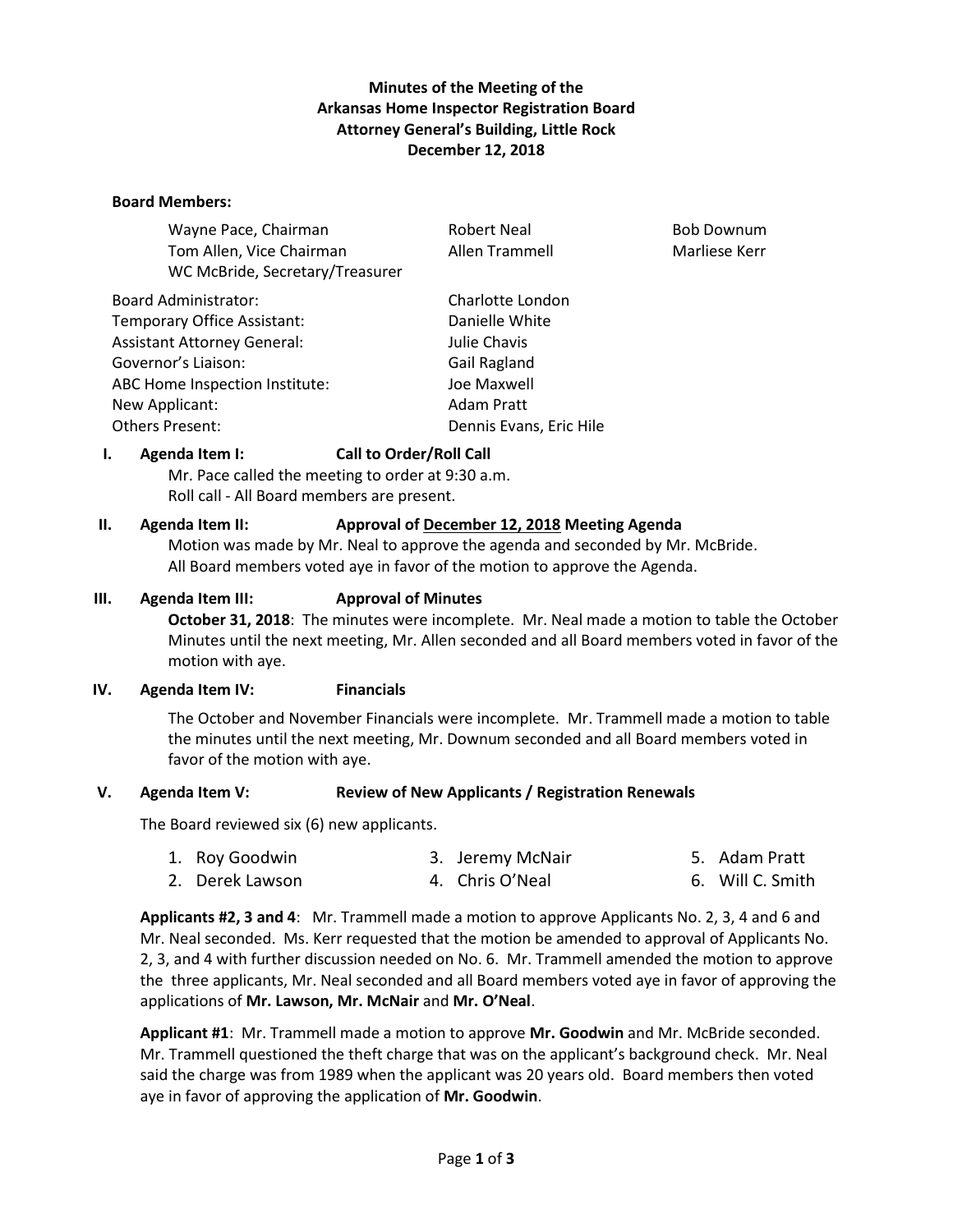### **Minutes of the Meeting of the Arkansas Home Inspector Registration Board Attorney General's Building, Little Rock December 12, 2018**

#### **Board Members:**

| Wayne Pace, Chairman               | <b>Robert Neal</b>      | <b>Bob Downum</b> |
|------------------------------------|-------------------------|-------------------|
| Tom Allen, Vice Chairman           | Allen Trammell          | Marliese Kerr     |
| WC McBride, Secretary/Treasurer    |                         |                   |
| <b>Board Administrator:</b>        | Charlotte London        |                   |
| Temporary Office Assistant:        | Danielle White          |                   |
| <b>Assistant Attorney General:</b> | Julie Chavis            |                   |
| Governor's Liaison:                | Gail Ragland            |                   |
| ABC Home Inspection Institute:     | Joe Maxwell             |                   |
| New Applicant:                     | Adam Pratt              |                   |
| <b>Others Present:</b>             | Dennis Evans, Eric Hile |                   |

### **I. Agenda Item I: Call to Order/Roll Call**

Mr. Pace called the meeting to order at 9:30 a.m. Roll call - All Board members are present.

### **II. Agenda Item II: Approval of December 12, 2018 Meeting Agenda**

Motion was made by Mr. Neal to approve the agenda and seconded by Mr. McBride. All Board members voted aye in favor of the motion to approve the Agenda.

#### **III. Agenda Item III: Approval of Minutes**

**October 31, 2018**: The minutes were incomplete. Mr. Neal made a motion to table the October Minutes until the next meeting, Mr. Allen seconded and all Board members voted in favor of the motion with aye.

### **IV. Agenda Item IV: Financials**

The October and November Financials were incomplete. Mr. Trammell made a motion to table the minutes until the next meeting, Mr. Downum seconded and all Board members voted in favor of the motion with aye.

### **V. Agenda Item V: Review of New Applicants / Registration Renewals**

The Board reviewed six (6) new applicants.

| 1. Roy Goodwin  | 3. Jeremy McNair | 5. Adam Pratt    |
|-----------------|------------------|------------------|
| 2. Derek Lawson | 4. Chris O'Neal  | 6. Will C. Smith |

**Applicants #2, 3 and 4**: Mr. Trammell made a motion to approve Applicants No. 2, 3, 4 and 6 and Mr. Neal seconded. Ms. Kerr requested that the motion be amended to approval of Applicants No. 2, 3, and 4 with further discussion needed on No. 6. Mr. Trammell amended the motion to approve the three applicants, Mr. Neal seconded and all Board members voted aye in favor of approving the applications of **Mr. Lawson, Mr. McNair** and **Mr. O'Neal**.

**Applicant #1**: Mr. Trammell made a motion to approve **Mr. Goodwin** and Mr. McBride seconded. Mr. Trammell questioned the theft charge that was on the applicant's background check. Mr. Neal said the charge was from 1989 when the applicant was 20 years old. Board members then voted aye in favor of approving the application of **Mr. Goodwin**.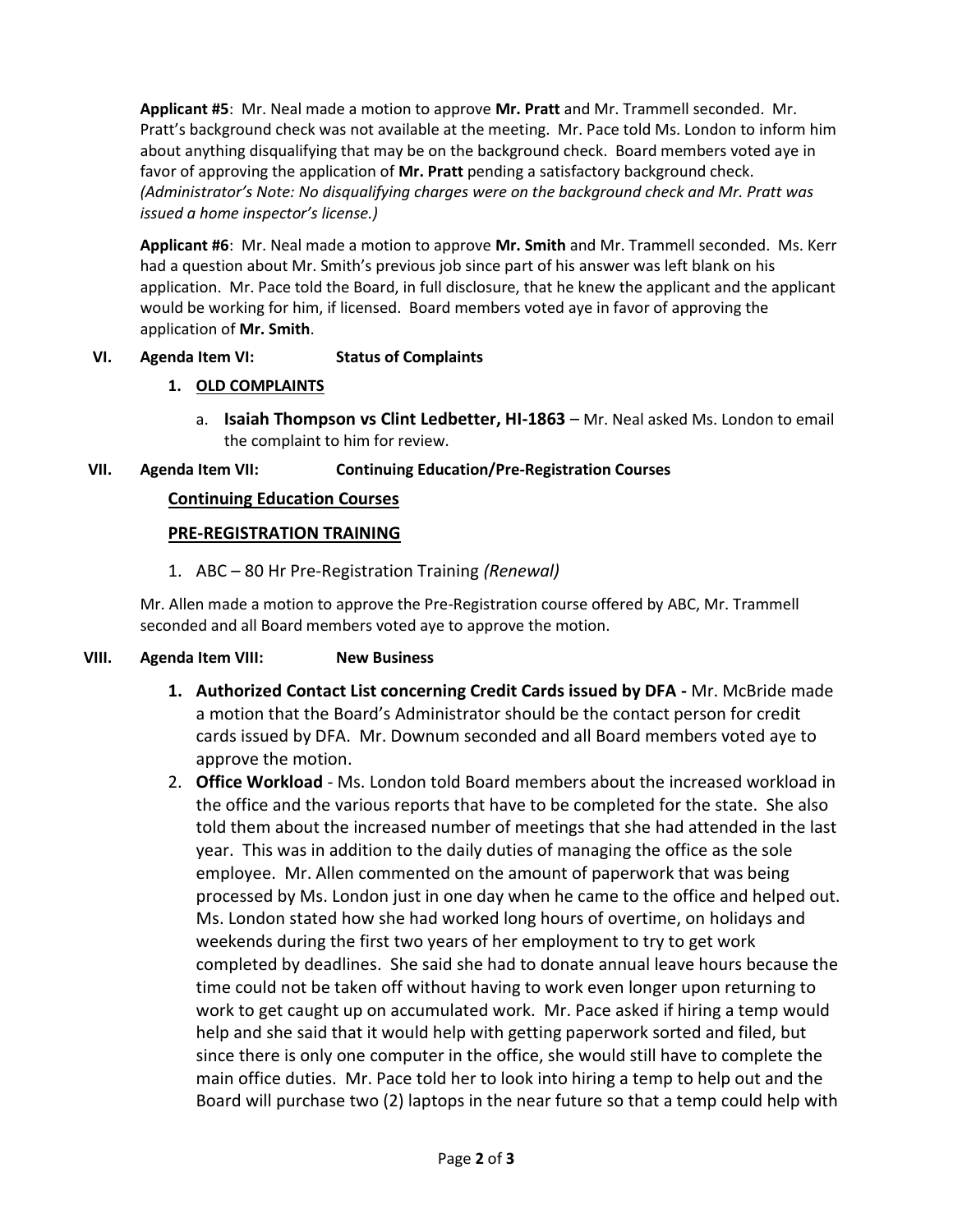**Applicant #5**: Mr. Neal made a motion to approve **Mr. Pratt** and Mr. Trammell seconded. Mr. Pratt's background check was not available at the meeting. Mr. Pace told Ms. London to inform him about anything disqualifying that may be on the background check. Board members voted aye in favor of approving the application of Mr. Pratt pending a satisfactory background check. *(Administrator's Note: No disqualifying charges were on the background check and Mr. Pratt was issued a home inspector's license.)*

**Applicant #6**: Mr. Neal made a motion to approve **Mr. Smith** and Mr. Trammell seconded. Ms. Kerr had a question about Mr. Smith's previous job since part of his answer was left blank on his application. Mr. Pace told the Board, in full disclosure, that he knew the applicant and the applicant would be working for him, if licensed. Board members voted aye in favor of approving the application of **Mr. Smith**.

## **VI. Agenda Item VI: Status of Complaints**

## **1. OLD COMPLAINTS**

a. **Isaiah Thompson vs Clint Ledbetter, HI-1863** – Mr. Neal asked Ms. London to email the complaint to him for review.

## **VII. Agenda Item VII: Continuing Education/Pre-Registration Courses**

# **Continuing Education Courses**

## **PRE-REGISTRATION TRAINING**

1. ABC – 80 Hr Pre-Registration Training *(Renewal)*

Mr. Allen made a motion to approve the Pre-Registration course offered by ABC, Mr. Trammell seconded and all Board members voted aye to approve the motion.

### **VIII. Agenda Item VIII: New Business**

- **1. Authorized Contact List concerning Credit Cards issued by DFA -** Mr. McBride made a motion that the Board's Administrator should be the contact person for credit cards issued by DFA. Mr. Downum seconded and all Board members voted aye to approve the motion.
- 2. **Office Workload** Ms. London told Board members about the increased workload in the office and the various reports that have to be completed for the state. She also told them about the increased number of meetings that she had attended in the last year. This was in addition to the daily duties of managing the office as the sole employee. Mr. Allen commented on the amount of paperwork that was being processed by Ms. London just in one day when he came to the office and helped out. Ms. London stated how she had worked long hours of overtime, on holidays and weekends during the first two years of her employment to try to get work completed by deadlines. She said she had to donate annual leave hours because the time could not be taken off without having to work even longer upon returning to work to get caught up on accumulated work. Mr. Pace asked if hiring a temp would help and she said that it would help with getting paperwork sorted and filed, but since there is only one computer in the office, she would still have to complete the main office duties. Mr. Pace told her to look into hiring a temp to help out and the Board will purchase two (2) laptops in the near future so that a temp could help with